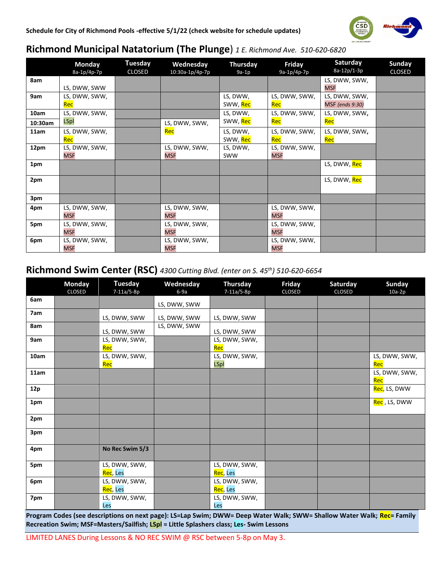

## **Richmond Municipal Natatorium (The Plunge**) *1 E. Richmond Ave. 510-620-6820*

|         | Monday        | <b>Tuesday</b> | Wednesday       | Thursday   | Friday        | Saturday               | <b>Sunday</b> |
|---------|---------------|----------------|-----------------|------------|---------------|------------------------|---------------|
|         | 8a-1p/4p-7p   | <b>CLOSED</b>  | 10:30a-1p/4p-7p | $9a-1p$    | 9a-1p/4p-7p   | 8a-12p/1-3p            | <b>CLOSED</b> |
| 8am     |               |                |                 |            |               | LS, DWW, SWW,          |               |
|         | LS, DWW, SWW  |                |                 |            |               | <b>MSF</b>             |               |
| 9am     | LS, DWW, SWW, |                |                 | LS, DWW,   | LS, DWW, SWW, | LS, DWW, SWW,          |               |
|         | Rec           |                |                 | SWW, Rec   | Rec           | <b>MSF</b> (ends 9:30) |               |
| 10am    | LS, DWW, SWW, |                |                 | LS, DWW,   | LS, DWW, SWW, | LS, DWW, SWW,          |               |
| 10:30am | <b>LSpl</b>   |                | LS, DWW, SWW,   | SWW, Rec   | Rec           | Rec                    |               |
| 11am    | LS, DWW, SWW, |                | Rec             | LS, DWW,   | LS, DWW, SWW, | LS, DWW, SWW,          |               |
|         | Rec           |                |                 | SWW, Rec   | Rec           | Rec                    |               |
| 12pm    | LS, DWW, SWW, |                | LS, DWW, SWW,   | LS, DWW,   | LS, DWW, SWW, |                        |               |
|         | <b>MSF</b>    |                | <b>MSF</b>      | <b>SWW</b> | <b>MSF</b>    |                        |               |
| 1pm     |               |                |                 |            |               | LS, DWW, Rec           |               |
|         |               |                |                 |            |               |                        |               |
| 2pm     |               |                |                 |            |               | LS, DWW, Rec           |               |
|         |               |                |                 |            |               |                        |               |
| 3pm     |               |                |                 |            |               |                        |               |
| 4pm     | LS, DWW, SWW, |                | LS, DWW, SWW,   |            | LS, DWW, SWW, |                        |               |
|         | <b>MSF</b>    |                | <b>MSF</b>      |            | <b>MSF</b>    |                        |               |
| 5pm     | LS, DWW, SWW, |                | LS, DWW, SWW,   |            | LS, DWW, SWW, |                        |               |
|         | <b>MSF</b>    |                | <b>MSF</b>      |            | <b>MSF</b>    |                        |               |
| 6pm     | LS, DWW, SWW, |                | LS, DWW, SWW,   |            | LS, DWW, SWW, |                        |               |
|         | <b>MSF</b>    |                | <b>MSF</b>      |            | <b>MSF</b>    |                        |               |

## **Richmond Swim Center (RSC)** *4300 Cutting Blvd. (enter on S. 45th) 510-620-6654*

|      | <b>Monday</b><br><b>CLOSED</b> | <b>Tuesday</b><br>7-11a/5-8p            | Wednesday<br>$6-9a$ | <b>Thursday</b><br>7-11a/5-8p           | Friday<br><b>CLOSED</b> | Saturday<br><b>CLOSED</b> | Sunday<br>$10a-2p$   |
|------|--------------------------------|-----------------------------------------|---------------------|-----------------------------------------|-------------------------|---------------------------|----------------------|
| 6am  |                                |                                         | LS, DWW, SWW        |                                         |                         |                           |                      |
| 7am  |                                | LS, DWW, SWW                            | LS, DWW, SWW        | LS, DWW, SWW                            |                         |                           |                      |
| 8am  |                                | LS, DWW, SWW                            | LS, DWW, SWW        | LS, DWW, SWW                            |                         |                           |                      |
| 9am  |                                | LS, DWW, SWW,<br>Rec                    |                     | LS, DWW, SWW,<br>Rec                    |                         |                           |                      |
| 10am |                                | LS, DWW, SWW,<br>Rec                    |                     | LS, DWW, SWW,<br><b>LSpl</b>            |                         |                           | LS, DWW, SWW,<br>Rec |
| 11am |                                |                                         |                     |                                         |                         |                           | LS, DWW, SWW,<br>Rec |
| 12p  |                                |                                         |                     |                                         |                         |                           | Rec, LS, DWW         |
| 1pm  |                                |                                         |                     |                                         |                         |                           | Rec , LS, DWW        |
| 2pm  |                                |                                         |                     |                                         |                         |                           |                      |
| 3pm  |                                |                                         |                     |                                         |                         |                           |                      |
| 4pm  |                                | No Rec Swim 5/3                         |                     |                                         |                         |                           |                      |
| 5pm  |                                | LS, DWW, SWW,<br><mark>Rec</mark> , Les |                     | LS, DWW, SWW,<br>Rec, Les               |                         |                           |                      |
| 6pm  |                                | LS, DWW, SWW,<br>Rec, Les               |                     | LS, DWW, SWW,<br><mark>Rec</mark> , Les |                         |                           |                      |
| 7pm  |                                | LS, DWW, SWW,<br>Les                    |                     | LS, DWW, SWW,<br>Les                    |                         |                           |                      |

**Program Codes (see descriptions on next page): LS=Lap Swim; DWW= Deep Water Walk; SWW= Shallow Water Walk; Rec= Family Recreation Swim; MSF=Masters/Sailfish; LSpl = Little Splashers class; Les- Swim Lessons**

LIMITED LANES During Lessons & NO REC SWIM @ RSC between 5-8p on May 3.